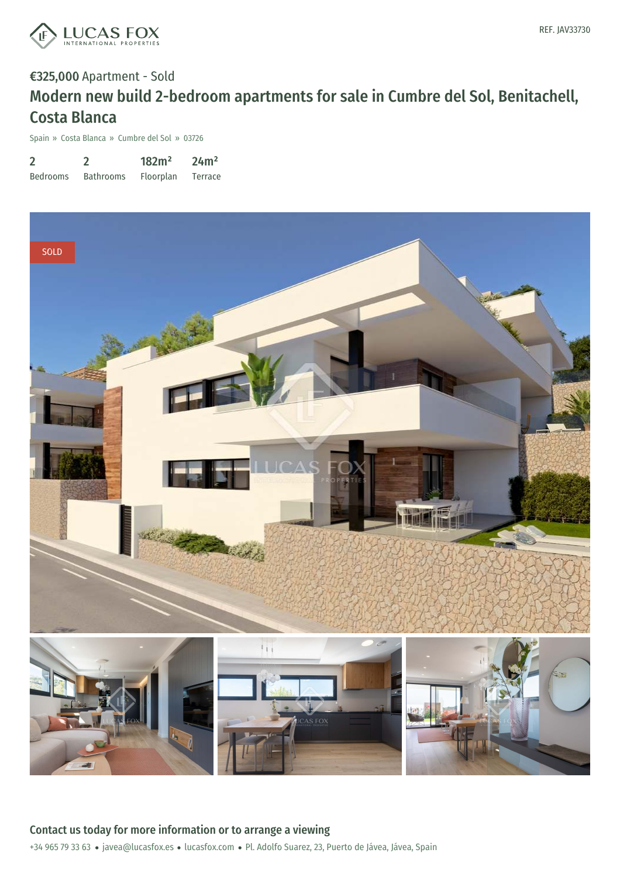

# €325,000 Apartment - Sold Modern new build 2-bedroom apartments for sale in Cumbre del Sol, Benitachell, Costa Blanca

Spain » Costa Blanca » Cumbre del Sol » 03726

| $\overline{2}$  |                  | 182m <sup>2</sup> | 24m <sup>2</sup> |
|-----------------|------------------|-------------------|------------------|
| <b>Bedrooms</b> | <b>Bathrooms</b> | Floorplan         | <b>Terrace</b>   |



+34 965 79 33 63 · javea@lucasfox.es · lucasfox.com · Pl. Adolfo Suarez, 23, Puerto de Jávea, Jávea, Spain Contact us today for more information or to arrange a viewing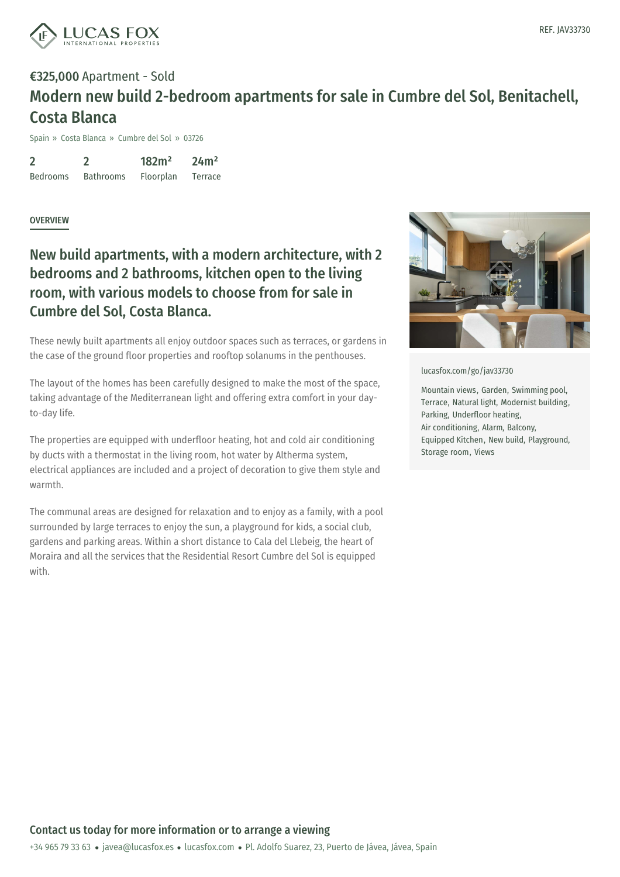

## €325,000 Apartment - Sold Modern new build 2-bedroom apartments for sale in Cumbre del Sol, Benitachell, Costa Blanca

Spain » Costa Blanca » Cumbre del Sol » 03726

2 Bedrooms 2 Bathrooms 182m² Floorplan 24m² Terrace

#### **OVERVIEW**

### New build apartments, with a modern architecture, with 2 bedrooms and 2 bathrooms, kitchen open to the living room, with various models to choose from for sale in Cumbre del Sol, Costa Blanca.

These newly built apartments all enjoy outdoor spaces such as terraces, or gardens in the case of the ground floor properties and rooftop solanums in the penthouses.

The layout of the homes has been carefully designed to make the most of the space, taking advantage of the Mediterranean light and offering extra comfort in your dayto-day life.

The properties are equipped with underfloor heating, hot and cold air conditioning by ducts with a thermostat in the living room, hot water by Altherma system, electrical appliances are included and a project of decoration to give them style and warmth.

The communal areas are designed for relaxation and to enjoy as a family, with a pool surrounded by large terraces to enjoy the sun, a playground for kids, a social club, gardens and parking areas. Within a short distance to Cala del Llebeig, the heart of Moraira and all the services that the Residential Resort Cumbre del Sol is equipped with.



[lucasfox.com/go/jav33730](https://www.lucasfox.com/go/jav33730)

Mountain views, Garden, Swimming pool, Terrace, Natural light, Modernist building, Parking, Underfloor heating, Air conditioning, Alarm, Balcony, Equipped Kitchen, New build, Playground, Storage room, Views